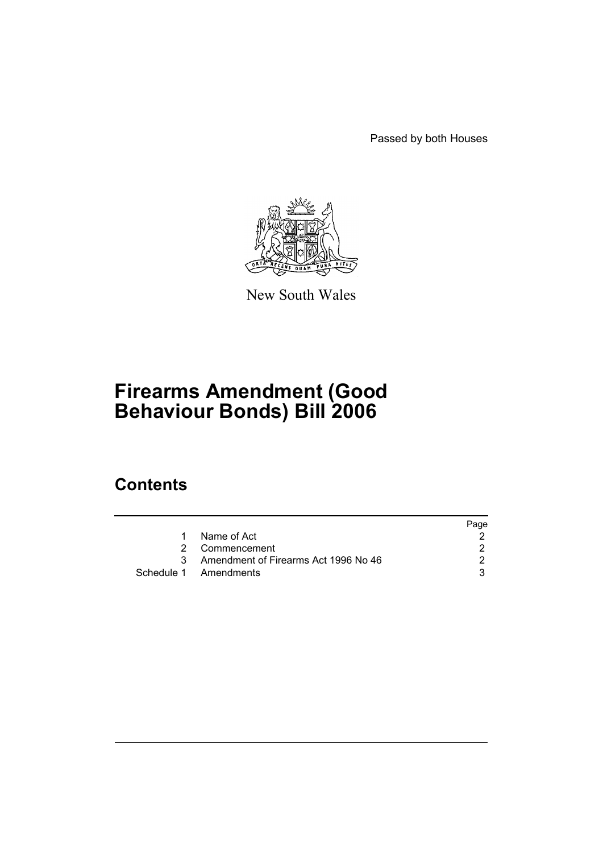Passed by both Houses



New South Wales

# **Firearms Amendment (Good Behaviour Bonds) Bill 2006**

### **Contents**

|           |                                      | Page |
|-----------|--------------------------------------|------|
| $1 \quad$ | Name of Act                          |      |
|           | 2 Commencement                       |      |
|           | Amendment of Firearms Act 1996 No 46 |      |
|           | Schedule 1 Amendments                |      |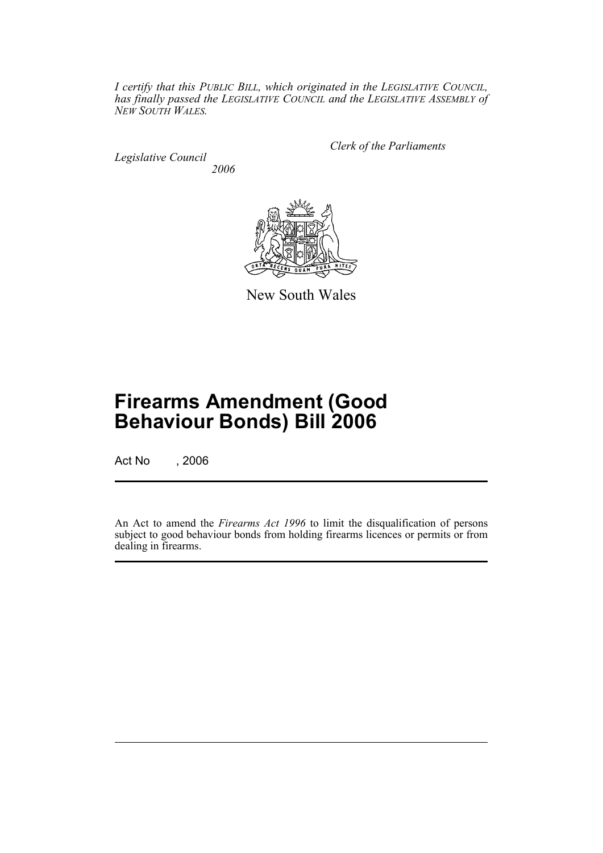*I certify that this PUBLIC BILL, which originated in the LEGISLATIVE COUNCIL, has finally passed the LEGISLATIVE COUNCIL and the LEGISLATIVE ASSEMBLY of NEW SOUTH WALES.*

*Legislative Council 2006* *Clerk of the Parliaments*



New South Wales

# **Firearms Amendment (Good Behaviour Bonds) Bill 2006**

Act No , 2006

An Act to amend the *Firearms Act 1996* to limit the disqualification of persons subject to good behaviour bonds from holding firearms licences or permits or from dealing in firearms.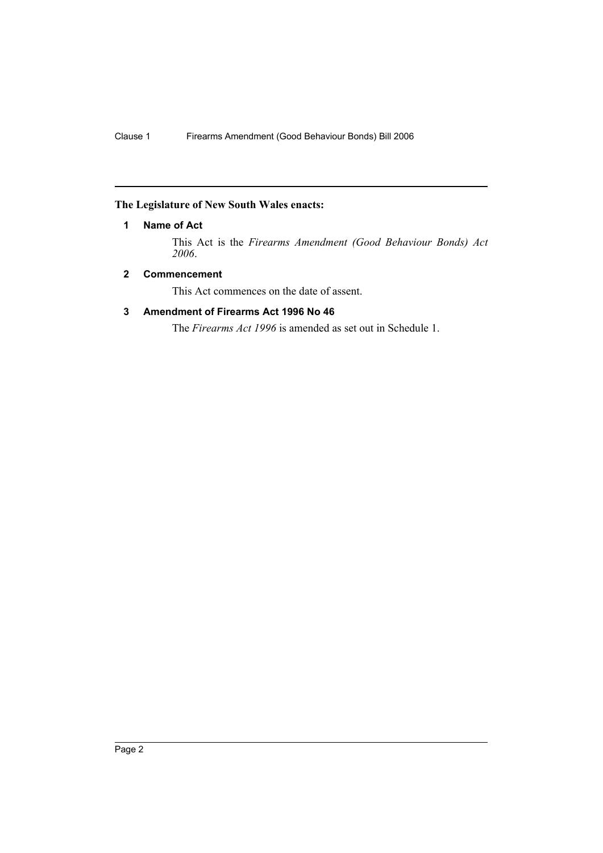#### **The Legislature of New South Wales enacts:**

#### **1 Name of Act**

This Act is the *Firearms Amendment (Good Behaviour Bonds) Act 2006*.

#### **2 Commencement**

This Act commences on the date of assent.

#### **3 Amendment of Firearms Act 1996 No 46**

The *Firearms Act 1996* is amended as set out in Schedule 1.